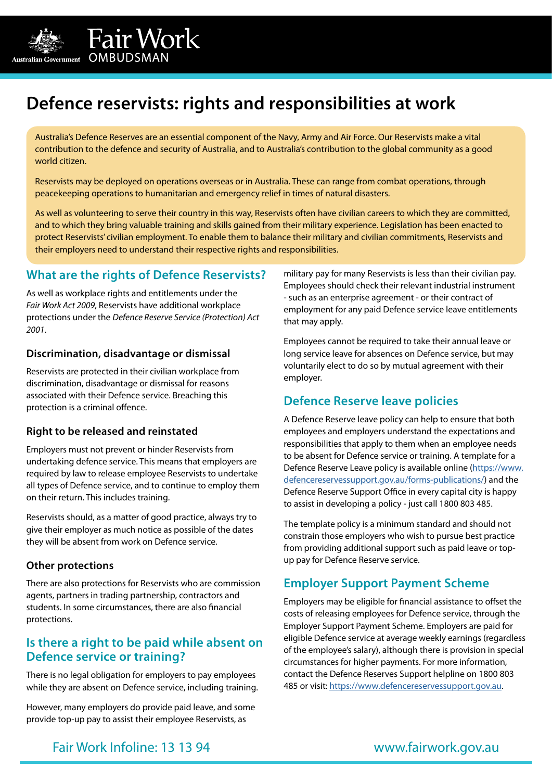

Australia's Defence Reserves are an essential component of the Navy, Army and Air Force. Our Reservists make a vital contribution to the defence and security of Australia, and to Australia's contribution to the global community as a good world citizen.

Reservists may be deployed on operations overseas or in Australia. These can range from combat operations, through peacekeeping operations to humanitarian and emergency relief in times of natural disasters.

As well as volunteering to serve their country in this way, Reservists often have civilian careers to which they are committed, and to which they bring valuable training and skills gained from their military experience. Legislation has been enacted to protect Reservists' civilian employment. To enable them to balance their military and civilian commitments, Reservists and their employers need to understand their respective rights and responsibilities.

### **What are the rights of Defence Reservists?**

Fair Work

 $\begin{array}{lll} \hbox{Australian Government} & \hbox{OMBUDSMAN} \end{array}$ 

As well as workplace rights and entitlements under the *Fair Work Act 2009*, Reservists have additional workplace protections under the *Defence Reserve Service (Protection) Act 2001*.

#### **Discrimination, disadvantage or dismissal**

Reservists are protected in their civilian workplace from discrimination, disadvantage or dismissal for reasons associated with their Defence service. Breaching this protection is a criminal offence.

#### **Right to be released and reinstated**

Employers must not prevent or hinder Reservists from undertaking defence service. This means that employers are required by law to release employee Reservists to undertake all types of Defence service, and to continue to employ them on their return. This includes training.

Reservists should, as a matter of good practice, always try to give their employer as much notice as possible of the dates they will be absent from work on Defence service.

#### **Other protections**

There are also protections for Reservists who are commission agents, partners in trading partnership, contractors and students. In some circumstances, there are also financial protections.

### **Is there a right to be paid while absent on Defence service or training?**

There is no legal obligation for employers to pay employees while they are absent on Defence service, including training.

However, many employers do provide paid leave, and some provide top-up pay to assist their employee Reservists, as

military pay for many Reservists is less than their civilian pay. Employees should check their relevant industrial instrument - such as an enterprise agreement - or their contract of employment for any paid Defence service leave entitlements that may apply.

Employees cannot be required to take their annual leave or long service leave for absences on Defence service, but may voluntarily elect to do so by mutual agreement with their employer.

### **Defence Reserve leave policies**

A Defence Reserve leave policy can help to ensure that both employees and employers understand the expectations and responsibilities that apply to them when an employee needs to be absent for Defence service or training. A template for a Defence Reserve Leave policy is available online ([https://www.](https://www.defencereservessupport.gov.au/forms-publications/) [defencereservessupport.gov.au/forms-publications/](https://www.defencereservessupport.gov.au/forms-publications/)) and the Defence Reserve Support Office in every capital city is happy to assist in developing a policy - just call 1800 803 485.

The template policy is a minimum standard and should not constrain those employers who wish to pursue best practice from providing additional support such as paid leave or topup pay for Defence Reserve service.

#### **Employer Support Payment Scheme**

Employers may be eligible for financial assistance to offset the costs of releasing employees for Defence service, through the Employer Support Payment Scheme. Employers are paid for eligible Defence service at average weekly earnings (regardless of the employee's salary), although there is provision in special circumstances for higher payments. For more information, contact the Defence Reserves Support helpline on 1800 803 485 or visit: [https://www.defencereservessupport.gov.au.](https://www.defencereservessupport.gov.au)

Fair Work Infoline: 13 13 94

[www.fairwork.gov.au](https://www.fairwork.gov.au)